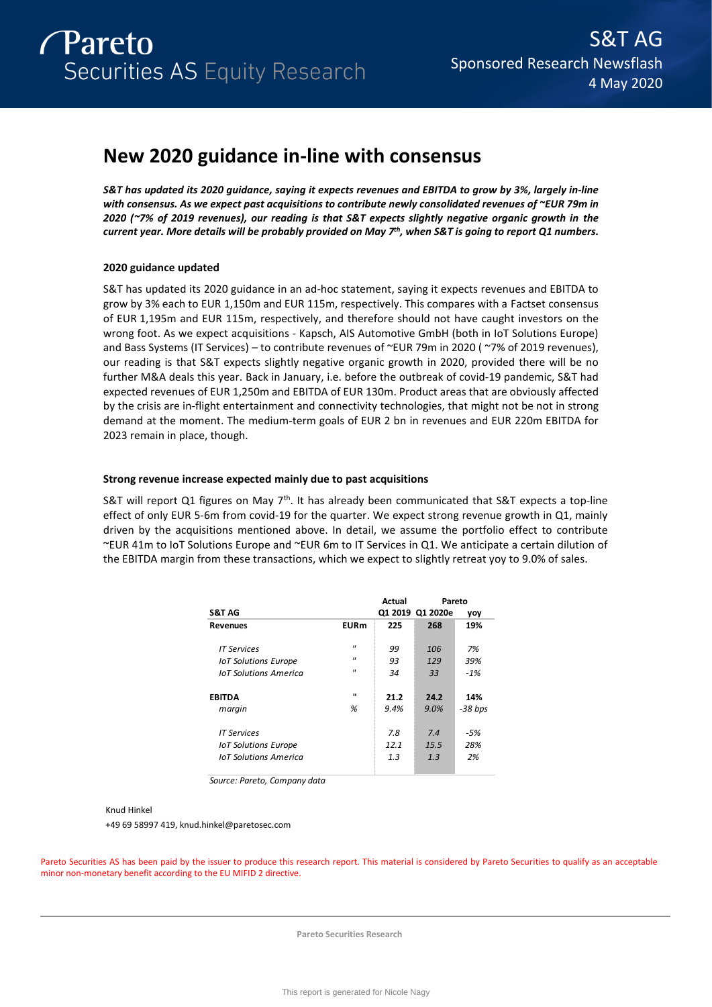# **New 2020 guidance in-line with consensus**

*S&T has updated its 2020 guidance, saying it expects revenues and EBITDA to grow by 3%, largely in-line with consensus. As we expect past acquisitions to contribute newly consolidated revenues of ~EUR 79m in 2020 (~7% of 2019 revenues), our reading is that S&T expects slightly negative organic growth in the current year. More details will be probably provided on May 7th, when S&T is going to report Q1 numbers.* 

# **2020 guidance updated**

S&T has updated its 2020 guidance in an ad-hoc statement, saying it expects revenues and EBITDA to grow by 3% each to EUR 1,150m and EUR 115m, respectively. This compares with a Factset consensus of EUR 1,195m and EUR 115m, respectively, and therefore should not have caught investors on the wrong foot. As we expect acquisitions - Kapsch, AIS Automotive GmbH (both in IoT Solutions Europe) and Bass Systems (IT Services) – to contribute revenues of ~EUR 79m in 2020 ( ~7% of 2019 revenues), our reading is that S&T expects slightly negative organic growth in 2020, provided there will be no further M&A deals this year. Back in January, i.e. before the outbreak of covid-19 pandemic, S&T had expected revenues of EUR 1,250m and EBITDA of EUR 130m. Product areas that are obviously affected by the crisis are in-flight entertainment and connectivity technologies, that might not be not in strong demand at the moment. The medium-term goals of EUR 2 bn in revenues and EUR 220m EBITDA for 2023 remain in place, though.

# **Strong revenue increase expected mainly due to past acquisitions**

S&T will report Q1 figures on May  $7<sup>th</sup>$ . It has already been communicated that S&T expects a top-line effect of only EUR 5-6m from covid-19 for the quarter. We expect strong revenue growth in Q1, mainly driven by the acquisitions mentioned above. In detail, we assume the portfolio effect to contribute ~EUR 41m to IoT Solutions Europe and ~EUR 6m to IT Services in Q1. We anticipate a certain dilution of the EBITDA margin from these transactions, which we expect to slightly retreat yoy to 9.0% of sales.

| Actual                                                                                | Pareto |                         |
|---------------------------------------------------------------------------------------|--------|-------------------------|
|                                                                                       |        | yoy                     |
|                                                                                       |        | 19%                     |
| 99                                                                                    | 106    | 7%                      |
| 93                                                                                    | 129    | 39%                     |
| 34                                                                                    | 33     | $-1%$                   |
| 21.2                                                                                  | 24.2   | 14%                     |
| 9.4%                                                                                  | 9.0%   | -38 bps                 |
| 7.8                                                                                   | 7.4    | -5%                     |
| 12.1                                                                                  | 15.5   | 28%                     |
| 1.3                                                                                   | 1.3    | 2%                      |
| <b>EURm</b><br>$\mathbf{u}$<br>$\mathbf{u}$<br>$^{\prime\prime}$<br>$\mathbf{u}$<br>% | 225    | Q1 2019 Q1 2020e<br>268 |

*Source: Pareto, Company data*

# Knud Hinkel

+49 69 58997 419, knud.hinkel@paretosec.com

Pareto Securities AS has been paid by the issuer to produce this research report. This material is considered by Pareto Securities to qualify as an acceptable minor non-monetary benefit according to the EU MIFID 2 directive.

**Pareto Securities Research**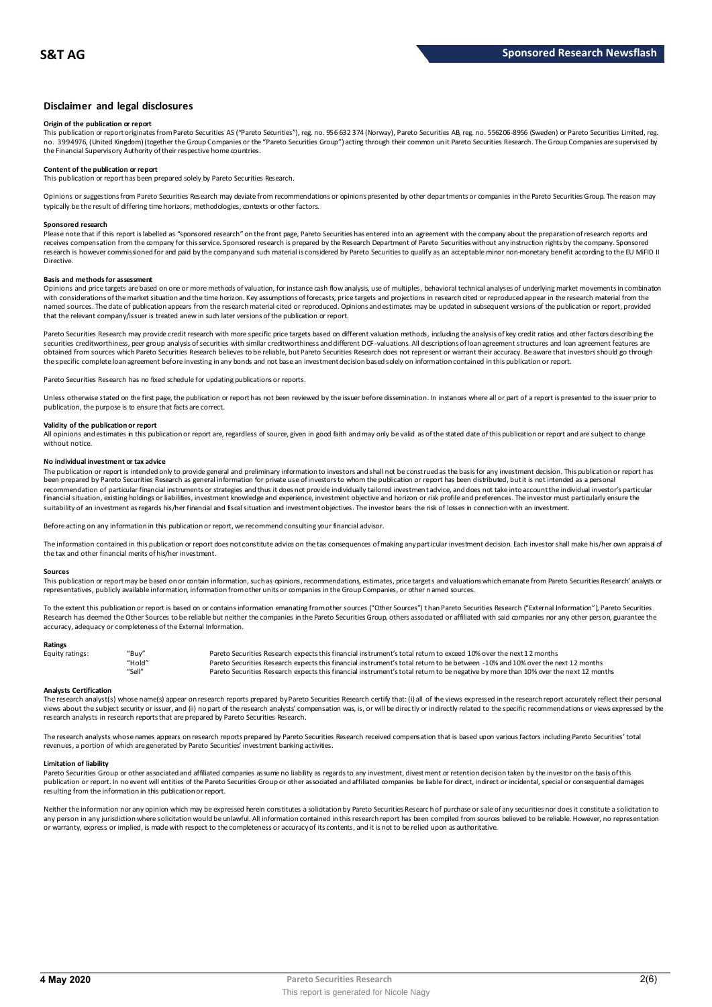# **Disclaimer and legal disclosures**

## **Origin of the publication or report**

This publication or report originates from Pareto Securities AS ("Pareto Securities"), reg. no. 956 632 374 (Norway), Pareto Securities AB, reg. no. 556206-8956 (Sweden) or Pareto Securities Limited, reg. no. 3994976, (United Kingdom) (together the Group Companies or the "Pareto Securities Group") acting through their common un it Pareto Securities Research. The Group Companies are supervised by<br>the Financial Supervisory Au

# **Content of the publication or report**

This publication or report has been prepared solely by Pareto Securities Research.

Opinions or suggestions from Pareto Securities Research may deviate from recommendations or opinions presented by other departments or companies in the Pareto Securities Group. The reason may typically be the result of differing time horizons, methodologies, contexts or other factors.

#### **Sponsored research**

Please note that if this report is labelled as "sponsored research" on the front page, Pareto Securities has entered into an agreement with the company about the preparation of research reports and<br>receives compensation fr research is however commissioned for and paid by the company and such material is considered by Pareto Securities to qualify as an acceptable minor non-monetary benefit according to the EU MiFID II Directive.

#### **Basis and methods for assessment**

Opinions and price targets are based on one or more methods of valuation, for instance cash flow analysis, use of multiples, behavioral technical analyses of underlying market movements in combination with considerations of the market situation and the time horizon. Key assumptions of forecasts, price targets and projections in research cited or reproduced appear in the research material from the named sources. The date of publication appears from the research material cited or reproduced. Opinions and estimates may be updated in subsequent versions of the publication or report, provided that the relevant company/issuer is treated anew in such later versions of the publication or report.

Pareto Securities Research may provide credit research with more specific price targets based on different valuation methods, including the analysis of key credit ratios and other factors describing the securities creditworthiness, peer group analysis of securities with similar creditworthiness and different DCF-valuations. All descriptions of loan agreement structures and loan agreement features are obtained from sources which Pareto Securities Research believes to be reliable, but Pareto Securities Research does not represent or warrant their accuracy. Be aware that investors should go through the specific complete loan agreement before investing in any bonds and not base an investment decision based solely on information contained in this publication or report.

Pareto Securities Research has no fixed schedule for updating publications or reports.

Unless otherwise stated on the first page, the publication or report has not been reviewed by the issuer before dissemination. In instances where all or part of a report is presented to the issuer prior to publication, the purpose is to ensure that facts are correct.

## **Validity of the publication or report**

All opinions and estimates in this publication or report are, regardless of source, given in good faith and may only be valid as of the stated date of this publication or report and are subject to change without notice.

#### **No individual investment or tax advice**

The publication or report is intended only to provide general and preliminary information to investors and shall not be construed as the basis for any investment decision. This publication or report has<br>been prepared by Pa recommendation of particular financial instruments or strategies and thus it does not provide individually tailored investmen t advice, and does not take into account the individual investor's particular financial situation, existing holdings or liabilities, investment knowledge and experience, investment objective and horizon or risk profile and preferences. The investor must particularly ensure the suitability of an investment as regards his/her financial and fiscal situation and investment objectives. The investor bears the risk of losses in connection with an investment.

Before acting on any information in this publication or report, we recommend consulting your financial advisor.

The information contained in this publication or report does not constitute advice on the tax consequences of making any particular investment decision. Each investor shall make his/her own appraisal of the tax and other financial merits of his/her investment.

#### **Sources**

This publication or report may be based on or contain information, such as opinions, recommendations, estimates, price targets and valuations which emanate from Pareto Securities Research' analysts or representatives, publicly available information, information from other units or companies in the Group Companies, or other named sources.

To the extent this publication or report is based on or contains information emanating from other sources ("Other Sources") than Pareto Securities Research ("External Information"), Pareto Securities Research has deemed the Other Sources to be reliable but neither the companies in the Pareto Securities Group, others associated or affiliated with said companies nor any other person, guarantee the accuracy, adequacy or completeness of the External Information.

#### **Ratings**

| Equity ratings: | "Buy"  | Pareto Securities Research expects this financial instrument's total return to exceed 10% over the next 12 months                   |
|-----------------|--------|-------------------------------------------------------------------------------------------------------------------------------------|
|                 | "Hold" | Pareto Securities Research expects this financial instrument's total return to be between -10% and 10% over the next 12 months      |
|                 | "Sell" | Pareto Securities Research expects this financial instrument's total return to be negative by more than 10% over the next 12 months |

**Analysts Certification**<br>The research analystis) whose name(s) appear on research reports prepared by Pareto Securities Research certify that: (i) all of the views expressed in the research report accurately reflect their "Hold"<br>"Sell" Pareto Securities Research expects this financial instrument's total return to be between -10% and 10% over the next 12 months<br>"Sell" Pareto Securities Research expects this financial instrument's total retur research analysts in research reports that are prepared by Pareto Securities Research.

The research analysts whose names appears on research reports prepared by Pareto Securities Research received compensation that is based upon various factors including Pareto Securities' total revenues, a portion of which are generated by Pareto Securities' investment banking activities.

#### **Limitation of liability**

Pareto Securities Group or other associated and affiliated companies assume no liability as regards to any investment, divestment or retention decision taken by the investor on the basis of this publication or report. In no event will entities of the Pareto Securities Group or other associated and affiliated companies be liable for direct, indirect or incidental, special or consequential damages resulting from the information in this publication or report.

Neither the information nor any opinion which may be expressed herein constitutes a solicitation by Pareto Securities Research of purchase or sale of any securities nor does it constitute a solicitation to any person in any jurisdiction where solicitation would be unlawful. All information contained in this research report has been compiled from sources believed to be reliable. However, no representation or warranty, express or implied, is made with respect to the completeness or accuracy of its contents, and it is not to be relied upon as authoritative.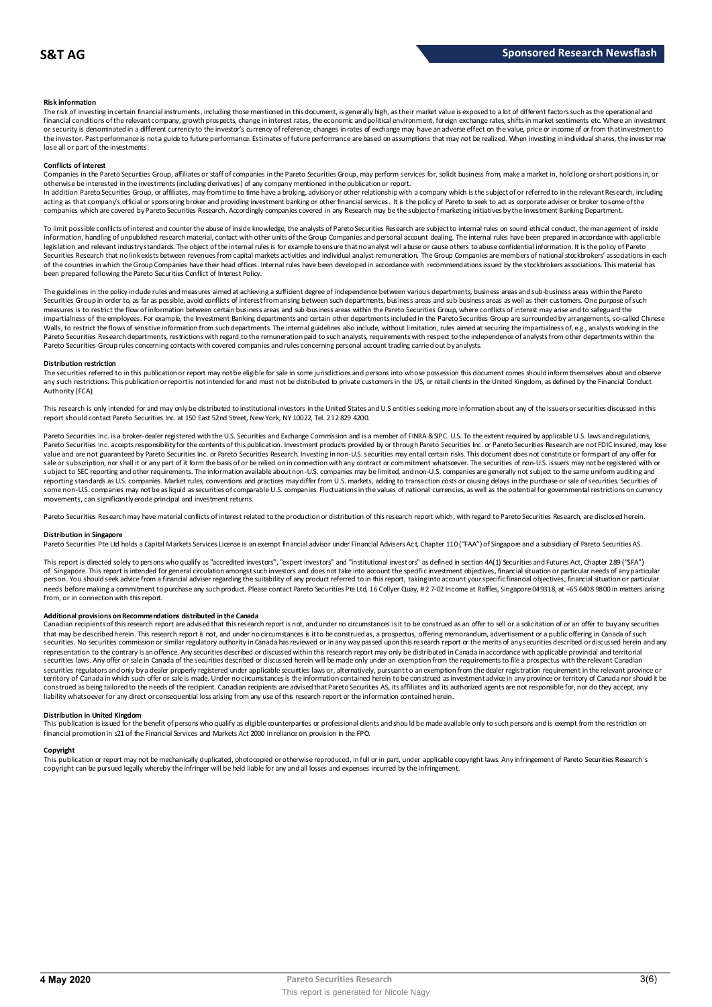## **Risk information**

The risk of investing in certain financial instruments, including those mentioned in this document, is generally high, as their market value is exposed to a lot of different factors such as the operational and financial conditions of the relevant company, growth prospects, change in interest rates, the economic and political environment, foreign exchange rates, shifts in market sentiments etc. Where an investment or security is denominated in a different currency to the investor's currency of reference, changes in rates of exchange may have an adverse effect on the value, price or income of or from that investment to the investor. Past performance is not a guide to future performance. Estimates of future performance are based on assumptions that may not be realized. When investing in individual shares, the investor may lose all or part of the investments.

#### **Conflicts of interest**

Companies in the Pareto Securities Group, affiliates or staff of companies in the Pareto Securities Group, may perform services for, solicit business from, make a market in, hold long or short positions in, or otherwise be interested in the investments (including derivatives) of any company mentioned in the publication or report.<br>In addition Pareto Securities Group, or affiliates, may from time to time have a broking, advisory o

acting as that company's official or sponsoring broker and providing investment banking or other financial services. It is the policy of Pareto to seek to act as corporate adviser or broker to some of the companies which are covered by Pareto Securities Research. Accordingly companies covered in any Research may be the subject o f marketing initiatives by the Investment Banking Department.

To limit possible conflicts of interest and counter the abuse of inside knowledge, the analysts of Pareto Securities Research are subject to internal rules on sound ethical conduct, the management of inside information, handling of unpublished research material, contact with other units of the Group Companies and personal account dealing. The internal rules have been prepared in accordance with applicable legislation and relevant industry standards. The object of the internal rules is for example to ensure that no analyst will abuse or cause others to abuse confidential information. It is the policy of Pareto Securities Research that no link exists between revenues from capital markets activities and individual analyst remuneration. The Group Companies are members of national stockbrokers' associations in each of the countries in which the Group Companies have their head offices. Internal rules have been developed in accordance with recommendations issued by the stockbrokers associations. This material has been prepared following the Pareto Securities Conflict of Interest Policy.

The guidelines in the policy indude rules and measures aimed at achieving a sufficient degree of independence between various departments, business areas and sub-business areas within the Pareto Securities Group in order to, as far as possible, avoid conflicts of interest from arising between such departments, business areas and sub-business areas as well as their customers. One purpose of such measures is to restrict the flow of information between certain business areas and sub-business areas within the Pareto Securities Group, where conflicts of interest may arise and to safeguard the inpartialness of the empl The guidelines in the policy indude rules and measures aimed at achieving a sufficient degree of independence between various departments, business areas and sub-business areas within the Pareto<br>Securities Group in order t Pareto Securities Group rules concerning contacts with covered companies and rules concerning personal account trading carried out by analysts.

#### **Distribution restriction**

The securities referred to in this publication or report may not be eligible for sale in some jurisdictions and persons into whose possession this document comes should inform themselves about and observe Pareto Securities Group rules concerning contacts with covered companies and rules concerning personal account trading carried out by analysts.<br>Distribution restriction<br>The securities referred to in this publication or rep Authority (FCA).

This research is only intended for and may only be distributed to institutional investors in the United States and U.S entities seeking more information about any of the issuers or securities discussed in this report should contact Pareto Securities Inc. at 150 East 52nd Street, New York, NY 10022, Tel. 212 829 4200.

Pareto Securities Inc. is a broker-dealer registered with the U.S. Securities and Exchange Commission and is a member of FINRA & SPC. U.S. To the extent required by applicable U.S. laws and regulations, Pareto Securities Inc. accepts responsibility for the contents of this publication. Investment products provided by or through Pareto Securities Inc. or Pareto Securities Research are not FDIC insured, may lose<br>value and a sale or subscription, nor shall it or any part of it form the basis of or be relied on in connection with any contract or commitment whatsoever. The securities of non-U.S. issuers may not be registered with or subject to SEC reporting and other requirements. The information available about non-U.S. companies may be limited, and non-U.S. companies are generally not subject to the same unifom auditing and<br>reporting standards as U some non-U.S. companies may not be as liquid as securities of comparable U.S. companies. Fluctuations in the values of national currencies, as well as the potential for governmental restrictions on currency movements, can significantly erode principal and investment returns.

Pareto Securities Research may have material conflicts of interest related to the production or distribution of this research report which, with regard to Pareto Securities Research, are disclosed herein.

#### **Distribution in Singapore**

Pareto Securities Pte Ltd holds a Capital Markets Services License is an exempt financial advisor under Financial Advisers Ac t, Chapter 110 ("FAA") of Singapore and a subsidiary of Pareto Securities AS.

This report is directed solely to persons who qualify as "accredited investors", "expert investors" and "institutional investors" as defined in section 4A(1) Securities and Futures Act, Chapter 289 ("SFA") **Distribution in Singapore**<br>Pareto Securities Pte Ltd holds a Capital Markets Services License is an exempt financial advisor under Financial Advisers Act, Chapter 110 ("FAA") of Singapore and a subsidiary of Pareto Securi person. You should seek advice from a financial adviser regarding the suitability of any product referred to in this report, taking into account your specific financial objectives, financial situation or particular needs before making a commitment to purchase any such product. Please contact Pareto Securities Pte Ltd, 16 Collyer Quay, # 2 7-02 Income at Raffles, Singapore 049318, at +65 6408 9800 in matters arising<br>from, or in connec needs before making a commitment to purchase any such product. Please contact Pareto Securities Pte Ltd, 16 Collyer Quay, #2 7-02 Income at Raffles, Singapore 049318, at +65 6408 9800 in matters arisin<br>from, or in connecti

#### **Additional provisions on Recommendations distributed in the Canada**

That may be described herein. This research report are advised that this research report is not, and under no circumstances is it to be construed as an offer to sell or a solicitation of or an offer to buy any securities<br>t securities. No securities commission or similar regulatory authority in Canada has reviewed or in any way passed upon this research report or the merits of any securities described or discussed herein and any representation to the contrary is an offence. Any securities described or discussed within this research report may only be distributed in Canada in accordance with applicable provincial and territorial securities laws. Any offer or sale in Canada of the securities described or discussed herein will be made only under an exemption from the requirements to file a prospectus with the relevant Canadian securities regulators and only bya dealer properly registered under applicable securities laws or, alternatively, pursuant to an exemption from the dealer registration requirement in the relevant province or<br>territory of C construed as being tailored to the needs of the recipient. Canadian recipients are advised that Pareto Securities AS, its affiliates and its authorized agents are not responsible for, nor do they accept, any liability whatsoever for any direct or consequential loss arising from any use of this research report or the information contained herein.

## **Distribution in United Kingdom**

This publication is issued for the benefit of persons who qualify as eligible counterparties or professional dients and should be made available only to such persons and is exempt from the restriction on financial promotion in s21 of the Financial Services and Markets Act 2000 in reliance on provision in the FPO.

#### **Copyright**

This publication or report may not be mechanically duplicated, photocopied or otherwise reproduced, in full or in part, under applicable copyright laws. Any infringement of Pareto Securities Research´s copyright can be pursued legally whereby the infringer will be held liable for any and all losses and expenses incurred by the infringement.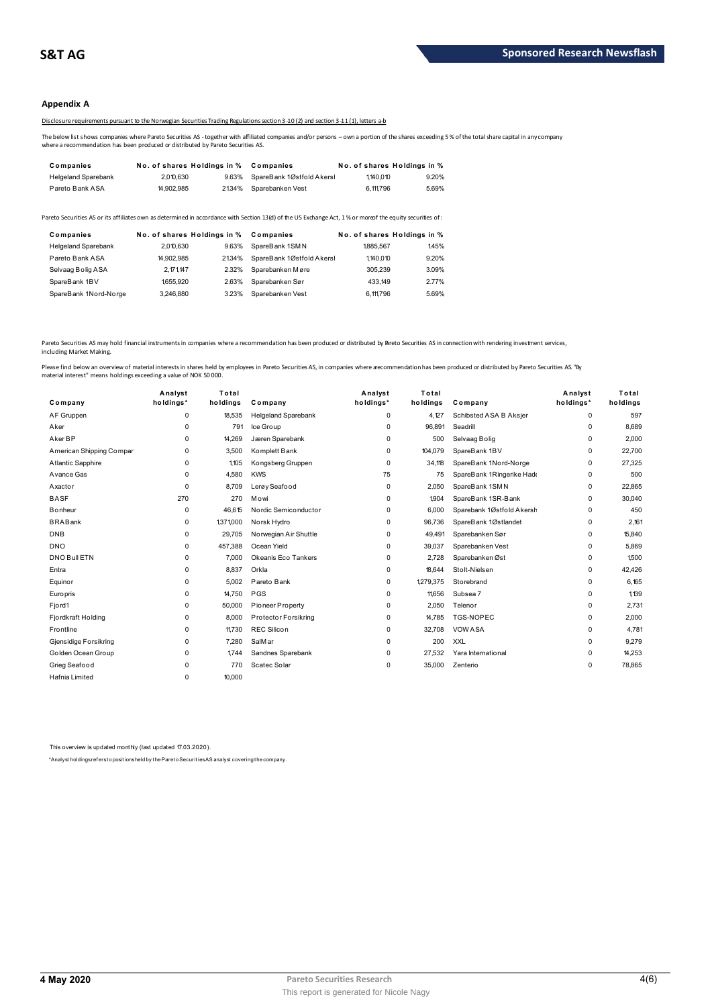# **Appendix A**

Disclosure requirements pursuant to the Norwegian Securities Trading Regulations section 3-10 (2) and section 3-11 (1), letters a-b

The below list shows companies where Pareto Securities AS - together with affiliated companies and/or persons – own a portion of the shares exceeding 5 % of the total share capital in any company<br>where a recommendation has

| Companies                  | No. of shares Holdings in % |       | Companies                 |           | No. of shares Holdings in % |
|----------------------------|-----------------------------|-------|---------------------------|-----------|-----------------------------|
| <b>Helgeland Sparebank</b> | 2.010.630                   | 9.63% | SpareBank 1Østfold Akersl | 1.140.010 | 9.20%                       |
| Pareto Bank ASA            | 14.902.985                  | 2134% | Sparebanken Vest          | 6,111,796 | 5.69%                       |

| <b>I GIULU DAIIN AUA</b>   | 1.302.303                   |       | <u>2</u> IV THE ODD ON THE REAL                                                                                                                         | <b>U.III</b> . 190 | <b>0.0070</b>               |
|----------------------------|-----------------------------|-------|---------------------------------------------------------------------------------------------------------------------------------------------------------|--------------------|-----------------------------|
|                            |                             |       | areto Securities AS or its affiliates own as determined in accordance with Section 13(d) of the US Exchange Act, 1% or moreof the equity securities of: |                    |                             |
| Companies                  | No. of shares Holdings in % |       | Companies                                                                                                                                               |                    | No. of shares Holdings in % |
| <b>Helgeland Sparebank</b> | 2.010.630                   | 9.63% | SpareBank 1SMN                                                                                                                                          | 1885.567           | 1.45%                       |
| Pareto Bank ASA            | 14.902.985                  | 2134% | SpareBank 1Østfold Akersl                                                                                                                               | 1.140.010          | 9.20%                       |
| Selvaag Bolig ASA          | 2.171.147                   | 2.32% | Sparebanken Møre                                                                                                                                        | 305.239            | 3.09%                       |
| SpareBank 1BV              | 1655.920                    | 2.63% | Sparebanken Sør                                                                                                                                         | 433.149            | 2.77%                       |
| SpareBank 1Nord-Norge      | 3.246.880                   | 3.23% | Sparebanken Vest                                                                                                                                        | 6.111.796          | 5.69%                       |
|                            |                             |       |                                                                                                                                                         |                    |                             |

Pareto Securities AS may hold financial instruments in companies where a recommendation has been produced or distributed by Breto Securities AS in connection with rendering investment services, including Market Making.

| Company                  | Analyst<br>holdings* | Total<br>holdings | Company                    | Analyst<br>holdings* | Total<br>holdings | Company                   | Analyst<br>holdings* | Total<br>holdings |
|--------------------------|----------------------|-------------------|----------------------------|----------------------|-------------------|---------------------------|----------------------|-------------------|
| AF Gruppen               | $\Omega$             | 18,535            | <b>Helgeland Sparebank</b> | 0                    | 4,127             | Schibsted ASA B Aksjer    | 0                    | 597               |
| Aker                     | $\Omega$             | 791               | Ice Group                  | $\Omega$             | 96.891            | Seadrill                  | 0                    | 8.689             |
| Aker BP                  | $\Omega$             | 14.269            | Jæren Sparebank            | 0                    | 500               | Selvaag Bolig             | 0                    | 2.000             |
| American Shipping Compar | 0                    | 3,500             | Komplett Bank              | 0                    | 104,079           | SpareBank 1BV             | 0                    | 22,700            |
| <b>Atlantic Sapphire</b> | $\Omega$             | 1,105             | Kongsberg Gruppen          | $\Omega$             | 34,118            | SpareBank 1Nord-Norge     | 0                    | 27,325            |
| Avance Gas               | 0                    | 4,580             | <b>KWS</b>                 | 75                   | 75                | SpareBank 1Ringerike Hadd | 0                    | 500               |
| Axactor                  | $\Omega$             | 8.709             | Lerøy Seafood              | 0                    | 2,050             | SpareBank 1SMN            | 0                    | 22,865            |
| <b>BASF</b>              | 270                  | 270               | Mowi                       | $\Omega$             | 1,904             | SpareBank 1SR-Bank        | 0                    | 30,040            |
| <b>B</b> onheur          | 0                    | 46.615            | Nordic Semiconductor       | 0                    | 6,000             | Sparebank 1Østfold Akersh | 0                    | 450               |
| <b>BRABank</b>           | $\Omega$             | 1,371,000         | Norsk Hydro                | 0                    | 96,736            | SpareBank 1Østlandet      | 0                    | 2.161             |
| <b>DNB</b>               | 0                    | 29,705            | Norwegian Air Shuttle      | 0                    | 49,491            | Sparebanken Sør           | 0                    | 15,840            |
| <b>DNO</b>               | 0                    | 457,388           | Ocean Yield                | 0                    | 39,037            | Sparebanken Vest          | 0                    | 5,869             |
| <b>DNO Bull ETN</b>      | $\Omega$             | 7,000             | Okeanis Eco Tankers        | 0                    | 2,728             | Sparebanken Øst           | 0                    | 1,500             |
| Entra                    | $\Omega$             | 8.837             | Orkla                      | 0                    | 18.644            | Stolt-Nielsen             | 0                    | 42.426            |
| Equinor                  | 0                    | 5.002             | Pareto Bank                | 0                    | 1279,375          | Storebrand                | 0                    | 6,165             |
| <b>Europris</b>          | $\Omega$             | 14,750            | <b>PGS</b>                 | 0                    | 11,656            | Subsea 7                  | 0                    | 1,139             |
| Fjord1                   | 0                    | 50,000            | Pioneer Property           | $\Omega$             | 2.050             | Telenor                   | 0                    | 2.731             |
| Fjordkraft Holding       | 0                    | 8.000             | Protector Forsikring       | 0                    | 14,785            | <b>TGS-NOPEC</b>          | 0                    | 2.000             |
| Frontline                | 0                    | 11.730            | <b>REC Silicon</b>         | 0                    | 32,708            | <b>VOW ASA</b>            | 0                    | 4.781             |
| Gjensidige Forsikring    | $\Omega$             | 7,280             | SalM ar                    | $\Omega$             | 200               | <b>XXL</b>                | 0                    | 9,279             |
| Golden Ocean Group       | $\Omega$             | 1.744             | Sandnes Sparebank          | 0                    | 27,532            | Yara International        | 0                    | 14,253            |
| Grieg Seafood            | $\Omega$             | 770               | Scatec Solar               | 0                    | 35,000            | Zenterio                  | 0                    | 78,865            |
| Hafnia Limited           | 0                    | 10,000            |                            |                      |                   |                           |                      |                   |
|                          |                      |                   |                            |                      |                   |                           |                      |                   |

This overview is updated monthly (last updated 17.03.2020).

\*Analyst holdings ref ers t o posit ions held by t he Paret o Securit ies AS analyst covering t he company.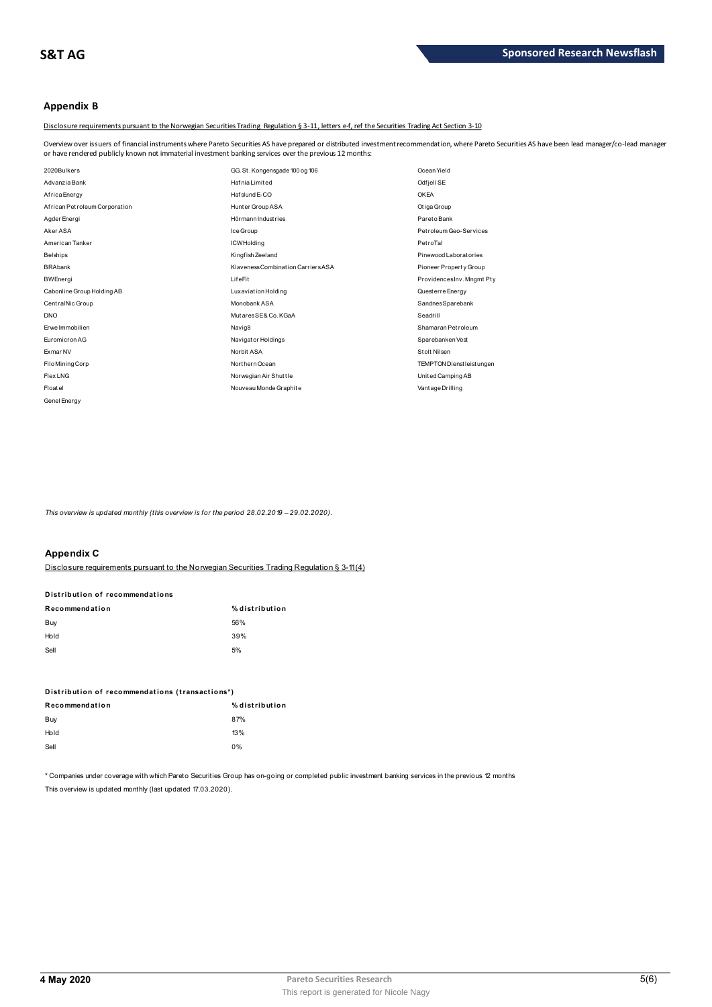# **Appendix B**

Disclosure requirements pursuant to the Norwegian Securities Trading Regulation § 3-11, letters e-f, ref the Securities Trading Act Section 3-10

Overview over issuers of financial instruments where Pareto Securities AS have prepared or distributed investment recommendation, where Pareto Securities AS have been lead manager/co-lead manager<br>or have rendered publicly

| or have rendered publicly known not immaterial investment banking services over the previous 12 months: |                                    |                                  |
|---------------------------------------------------------------------------------------------------------|------------------------------------|----------------------------------|
| 2020Bulkers                                                                                             | GG. St. Kongensgade 100 og 106     | Ocean Yield                      |
| Advanzia Bank                                                                                           | Hafnia Limited                     | Odfjell SE                       |
| Africa Energy                                                                                           | Hafslund E-CO                      | <b>OKEA</b>                      |
| African Petroleum Corporation                                                                           | Hunter Group ASA                   | Otiga Group                      |
| Agder Energi                                                                                            | Hörmann Industries                 | ParetoBank                       |
| Aker ASA                                                                                                | Ice Group                          | Petroleum Geo-Services           |
| American Tanker                                                                                         | <b>ICWHolding</b>                  | PetroTal                         |
| <b>Belships</b>                                                                                         | Kingfish Zeeland                   | Pinewood Laborat ories           |
| <b>BRAbank</b>                                                                                          | Klaveness Combination Carriers ASA | Pioneer Property Group           |
| <b>BWEnergi</b>                                                                                         | LifeFit                            | ProvidencesInv. Mngmt Pty        |
| Cabonline Group Holding AB                                                                              | Luxaviation Holding                | Questerre Energy                 |
| CentralNic Group                                                                                        | Monobank ASA                       | SandnesSparebank                 |
| <b>DNO</b>                                                                                              | MutaresSE& Co. KGaA                | Seadrill                         |
| Frwe Immobilien                                                                                         | Navig8                             | Shamaran Petroleum               |
| Euromicron AG                                                                                           | Navigator Holdings                 | Sparebanken Vest                 |
| Exmar NV                                                                                                | Norbit ASA                         | Stolt Nilsen                     |
| Filo Mining Corp                                                                                        | Northern Ocean                     | <b>TEMPTON Dienstleist ungen</b> |
| <b>Flex LNG</b>                                                                                         | Norwegian Air Shuttle              | United Camping AB                |
| Floatel                                                                                                 | Nouveau Monde Graphite             | Vantage Drilling                 |
| Genel Energy                                                                                            |                                    |                                  |

*This overview is updated monthly (this overview is for the period 28.02.2019 - 29.02.2020).* 

# **Appendix C**

Disclosure requirements pursuant to the Norwegian Securities Trading Regulation § 3-11(4)

# **Disclosure requirements pursuant to<br>Disclosure requirements pursuant to<br>Distribution of recommendations**

| <u>Disclosure requirements pursuant to the Norwegian oeculities Trading</u> |                |
|-----------------------------------------------------------------------------|----------------|
|                                                                             |                |
| Distribution of recommendations                                             |                |
| Recommendation                                                              | % distribution |
| Buy                                                                         | 56%            |
| Hold                                                                        | 39%            |
| Sell                                                                        | 5%             |
|                                                                             |                |

| $\sim$                                          | $\sim$         |
|-------------------------------------------------|----------------|
| Distribution of recommendations (transactions*) |                |
| Recommendation                                  | % distribution |
| Buy                                             | 87%            |
| Hold                                            | 13%            |
| Sell                                            | 0%             |
|                                                 |                |

\* Companies under coverage with which Pareto Securities Group has on-going or completed public investment banking services in the previous 12 months This overview is updated monthly (last updated 17.03.2020).